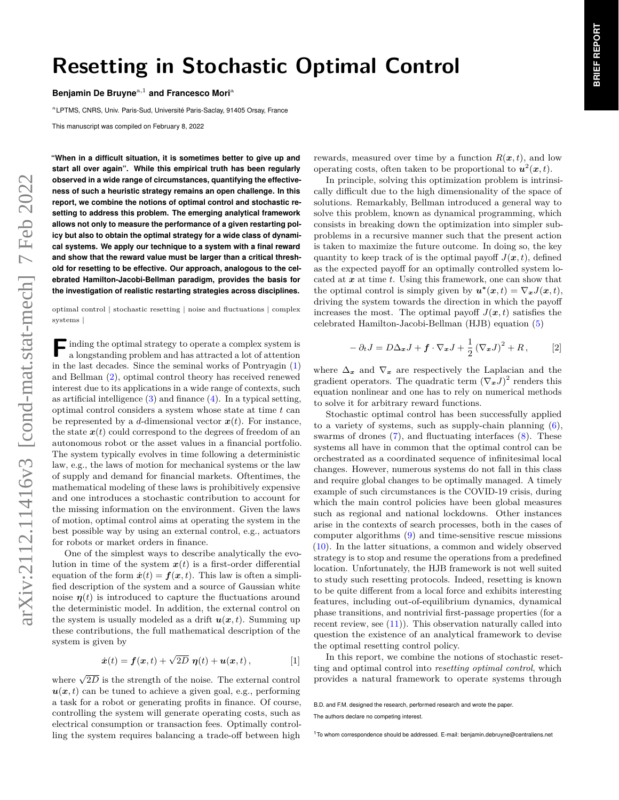# **Resetting in Stochastic Optimal Control**

**Benjamin De Bruyne<sup>a,1</sup> and Francesco Mori<sup>a</sup>** 

<sup>a</sup> LPTMS, CNRS, Univ. Paris-Sud, Université Paris-Saclay, 91405 Orsay, France

This manuscript was compiled on February 8, 2022

**"When in a difficult situation, it is sometimes better to give up and start all over again". While this empirical truth has been regularly observed in a wide range of circumstances, quantifying the effectiveness of such a heuristic strategy remains an open challenge. In this report, we combine the notions of optimal control and stochastic resetting to address this problem. The emerging analytical framework allows not only to measure the performance of a given restarting policy but also to obtain the optimal strategy for a wide class of dynamical systems. We apply our technique to a system with a final reward and show that the reward value must be larger than a critical threshold for resetting to be effective. Our approach, analogous to the celebrated Hamilton-Jacobi-Bellman paradigm, provides the basis for the investigation of realistic restarting strategies across disciplines.**

optimal control | stochastic resetting | noise and fluctuations | complex systems |

**F** inding the optimal strategy to operate a complex system is a longstanding problem and has attracted a lot of attention a longstanding problem and has attracted a lot of attention in the last decades. Since the seminal works of Pontryagin (1) and Bellman (2), optimal control theory has received renewed interest due to its applications in a wide range of contexts, such as artificial intelligence  $(3)$  and finance  $(4)$ . In a typical setting, optimal control considers a system whose state at time *t* can be represented by a *d*-dimensional vector  $x(t)$ . For instance, the state  $x(t)$  could correspond to the degrees of freedom of an autonomous robot or the asset values in a financial portfolio. The system typically evolves in time following a deterministic law, e.g., the laws of motion for mechanical systems or the law of supply and demand for financial markets. Oftentimes, the mathematical modeling of these laws is prohibitively expensive and one introduces a stochastic contribution to account for the missing information on the environment. Given the laws of motion, optimal control aims at operating the system in the best possible way by using an external control, e.g., actuators for robots or market orders in finance.

One of the simplest ways to describe analytically the evolution in time of the system  $x(t)$  is a first-order differential equation of the form  $\dot{x}(t) = f(x, t)$ . This law is often a simplified description of the system and a source of Gaussian white noise  $\eta(t)$  is introduced to capture the fluctuations around the deterministic model. In addition, the external control on the system is usually modeled as a drift  $u(x, t)$ . Summing up these contributions, the full mathematical description of the system is given by

$$
\dot{x}(t) = f(x,t) + \sqrt{2D} \eta(t) + u(x,t), \qquad [1]
$$

where  $\sqrt{2D}$  is the strength of the noise. The external control  $u(x, t)$  can be tuned to achieve a given goal, e.g., performing a task for a robot or generating profits in finance. Of course, controlling the system will generate operating costs, such as electrical consumption or transaction fees. Optimally controlling the system requires balancing a trade-off between high rewards, measured over time by a function  $R(x, t)$ , and low operating costs, often taken to be proportional to  $u^2(x,t)$ .

In principle, solving this optimization problem is intrinsically difficult due to the high dimensionality of the space of solutions. Remarkably, Bellman introduced a general way to solve this problem, known as dynamical programming, which consists in breaking down the optimization into simpler subproblems in a recursive manner such that the present action is taken to maximize the future outcome. In doing so, the key quantity to keep track of is the optimal payoff  $J(\mathbf{x}, t)$ , defined as the expected payoff for an optimally controlled system located at *x* at time *t*. Using this framework, one can show that the optimal control is simply given by  $u^*(x,t) = \nabla_x J(x,t)$ , driving the system towards the direction in which the payoff increases the most. The optimal payoff  $J(x,t)$  satisfies the celebrated Hamilton-Jacobi-Bellman (HJB) equation (5)

$$
-\partial_t J = D\Delta_x J + \boldsymbol{f} \cdot \nabla_x J + \frac{1}{2} (\nabla_x J)^2 + R, \qquad [2]
$$

where  $\Delta_x$  and  $\nabla_x$  are respectively the Laplacian and the gradient operators. The quadratic term  $(\nabla_x J)^2$  renders this equation nonlinear and one has to rely on numerical methods to solve it for arbitrary reward functions.

Stochastic optimal control has been successfully applied to a variety of systems, such as supply-chain planning  $(6)$ , swarms of drones  $(7)$ , and fluctuating interfaces  $(8)$ . These systems all have in common that the optimal control can be orchestrated as a coordinated sequence of infinitesimal local changes. However, numerous systems do not fall in this class and require global changes to be optimally managed. A timely example of such circumstances is the COVID-19 crisis, during which the main control policies have been global measures such as regional and national lockdowns. Other instances arise in the contexts of search processes, both in the cases of computer algorithms (9) and time-sensitive rescue missions (10). In the latter situations, a common and widely observed strategy is to stop and resume the operations from a predefined location. Unfortunately, the HJB framework is not well suited to study such resetting protocols. Indeed, resetting is known to be quite different from a local force and exhibits interesting features, including out-of-equilibrium dynamics, dynamical phase transitions, and nontrivial first-passage properties (for a recent review, see  $(11)$ ). This observation naturally called into question the existence of an analytical framework to devise the optimal resetting control policy.

In this report, we combine the notions of stochastic resetting and optimal control into *resetting optimal control*, which provides a natural framework to operate systems through

B.D. and F.M. designed the research, performed research and wrote the paper. The authors declare no competing interest.

<sup>&</sup>lt;sup>1</sup>To whom correspondence should be addressed. E-mail: benjamin.debruyne@centraliens.net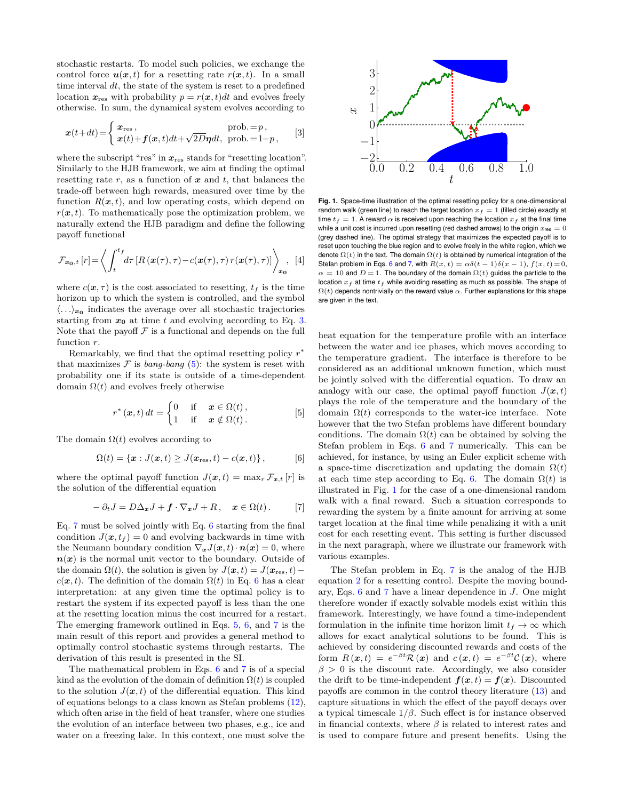stochastic restarts. To model such policies, we exchange the control force  $u(x,t)$  for a resetting rate  $r(x,t)$ . In a small time interval *dt*, the state of the system is reset to a predefined location  $x_{\text{res}}$  with probability  $p = r(x, t)dt$  and evolves freely otherwise. In sum, the dynamical system evolves according to

$$
\boldsymbol{x}(t+dt) = \begin{cases} \boldsymbol{x}_{\text{res}} \,, & \text{prob.} = p \,, \\ \boldsymbol{x}(t) + \boldsymbol{f}(\boldsymbol{x}, t)dt + \sqrt{2D}\boldsymbol{\eta}dt, & \text{prob.} = 1-p \,, \end{cases} \tag{3}
$$

where the subscript "res" in  $x_{\text{res}}$  stands for "resetting location". Similarly to the HJB framework, we aim at finding the optimal resetting rate *r*, as a function of *x* and *t*, that balances the trade-off between high rewards, measured over time by the function  $R(x,t)$ , and low operating costs, which depend on  $r(x, t)$ . To mathematically pose the optimization problem, we naturally extend the HJB paradigm and define the following payoff functional

$$
\mathcal{F}_{\boldsymbol{x_0},t}\left[r\right] = \left\langle \int_{t}^{t_f} d\tau \left[R\left(\boldsymbol{x}(\tau),\tau\right) - c\left(\boldsymbol{x}(\tau),\tau\right)r\left(\boldsymbol{x}(\tau),\tau\right)\right] \right\rangle_{\boldsymbol{x_0}}, \quad [4]
$$

where  $c(\mathbf{x}, \tau)$  is the cost associated to resetting,  $t_f$  is the time horizon up to which the system is controlled, and the symbol  $\langle \ldots \rangle_{x_0}$  indicates the average over all stochastic trajectories starting from  $x_0$  at time  $t$  and evolving according to Eq. 3. Note that the payoff  $F$  is a functional and depends on the full function *r*.

Remarkably, we find that the optimal resetting policy *r* ∗ that maximizes  $\mathcal F$  is *bang-bang* (5): the system is reset with probability one if its state is outside of a time-dependent domain  $\Omega(t)$  and evolves freely otherwise

$$
r^*(\boldsymbol{x},t) dt = \begin{cases} 0 & \text{if } \boldsymbol{x} \in \Omega(t), \\ 1 & \text{if } \boldsymbol{x} \notin \Omega(t). \end{cases} [5]
$$

The domain  $\Omega(t)$  evolves according to

$$
\Omega(t) = \{\boldsymbol{x} : J(\boldsymbol{x},t) \geq J(\boldsymbol{x}_{\text{res}},t) - c(\boldsymbol{x},t)\},\tag{6}
$$

where the optimal payoff function  $J(\mathbf{x}, t) = \max_{r} \mathcal{F}_{\mathbf{x}, t}[r]$  is the solution of the differential equation

$$
- \partial_t J = D \Delta_x J + f \cdot \nabla_x J + R, \quad x \in \Omega(t). \tag{7}
$$

Eq. 7 must be solved jointly with Eq. 6 starting from the final condition  $J(x, t_f) = 0$  and evolving backwards in time with the Neumann boundary condition  $\nabla_x J(x,t) \cdot n(x) = 0$ , where  $n(x)$  is the normal unit vector to the boundary. Outside of the domain  $\Omega(t)$ , the solution is given by  $J(\mathbf{x}, t) = J(\mathbf{x}_{\text{res}}, t)$  –  $c(\mathbf{x}, t)$ . The definition of the domain  $\Omega(t)$  in Eq. 6 has a clear interpretation: at any given time the optimal policy is to restart the system if its expected payoff is less than the one at the resetting location minus the cost incurred for a restart. The emerging framework outlined in Eqs. 5, 6, and 7 is the main result of this report and provides a general method to optimally control stochastic systems through restarts. The derivation of this result is presented in the SI.

The mathematical problem in Eqs. 6 and 7 is of a special kind as the evolution of the domain of definition  $\Omega(t)$  is coupled to the solution  $J(x,t)$  of the differential equation. This kind of equations belongs to a class known as Stefan problems (12), which often arise in the field of heat transfer, where one studies the evolution of an interface between two phases, e.g., ice and water on a freezing lake. In this context, one must solve the



**Fig. 1.** Space-time illustration of the optimal resetting policy for a one-dimensional random walk (green line) to reach the target location  $x_f = 1$  (filled circle) exactly at time  $t_f = 1$ . A reward  $\alpha$  is received upon reaching the location  $x_f$  at the final time while a unit cost is incurred upon resetting (red dashed arrows) to the origin  $x_{res} = 0$ (grey dashed line). The optimal strategy that maximizes the expected payoff is to reset upon touching the blue region and to evolve freely in the white region, which we denote  $\Omega(t)$  in the text. The domain  $\Omega(t)$  is obtained by numerical integration of the Stefan problem in Eqs. 6 and 7, with  $R(x, t) = \alpha \delta(t-1) \delta(x-1)$ ,  $f(x, t) = 0$ ,  $\alpha = 10$  and  $D = 1$ . The boundary of the domain  $\Omega(t)$  guides the particle to the location  $x_f$  at time  $t_f$  while avoiding resetting as much as possible. The shape of  $\Omega(t)$  depends nontrivially on the reward value  $\alpha$ . Further explanations for this shape are given in the text.

heat equation for the temperature profile with an interface between the water and ice phases, which moves according to the temperature gradient. The interface is therefore to be considered as an additional unknown function, which must be jointly solved with the differential equation. To draw an analogy with our case, the optimal payoff function  $J(x,t)$ plays the role of the temperature and the boundary of the domain  $\Omega(t)$  corresponds to the water-ice interface. Note however that the two Stefan problems have different boundary conditions. The domain  $\Omega(t)$  can be obtained by solving the Stefan problem in Eqs. 6 and 7 numerically. This can be achieved, for instance, by using an Euler explicit scheme with a space-time discretization and updating the domain  $\Omega(t)$ at each time step according to Eq. 6. The domain  $\Omega(t)$  is illustrated in Fig. 1 for the case of a one-dimensional random walk with a final reward. Such a situation corresponds to rewarding the system by a finite amount for arriving at some target location at the final time while penalizing it with a unit cost for each resetting event. This setting is further discussed in the next paragraph, where we illustrate our framework with various examples.

The Stefan problem in Eq. 7 is the analog of the HJB equation 2 for a resetting control. Despite the moving boundary, Eqs. 6 and 7 have a linear dependence in *J*. One might therefore wonder if exactly solvable models exist within this framework. Interestingly, we have found a time-independent formulation in the infinite time horizon limit  $t_f \rightarrow \infty$  which allows for exact analytical solutions to be found. This is achieved by considering discounted rewards and costs of the form  $R(\mathbf{x}, t) = e^{-\beta t} \mathcal{R}(\mathbf{x})$  and  $c(\mathbf{x}, t) = e^{-\beta t} \mathcal{C}(\mathbf{x})$ , where  $\beta > 0$  is the discount rate. Accordingly, we also consider the drift to be time-independent  $f(x,t) = f(x)$ . Discounted payoffs are common in the control theory literature (13) and capture situations in which the effect of the payoff decays over a typical timescale 1*/β*. Such effect is for instance observed in financial contexts, where  $\beta$  is related to interest rates and is used to compare future and present benefits. Using the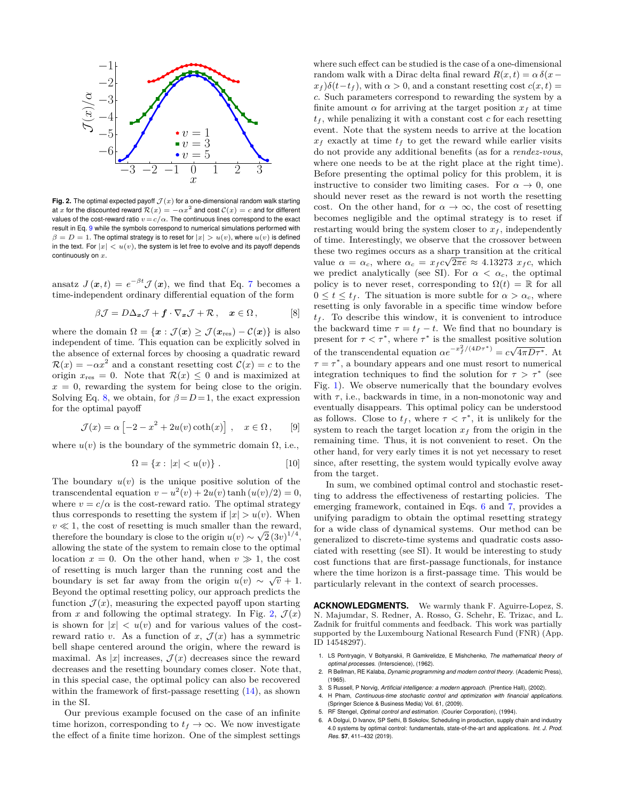

Fig. 2. The optimal expected payoff  $\mathcal{J}(x)$  for a one-dimensional random walk starting at *x* for the discounted reward  $\mathcal{R}(x) = -\alpha x^2$  and cost  $\mathcal{C}(x) = c$  and for different values of the cost-reward ratio  $v = c/\alpha$ . The continuous lines correspond to the exact result in Eq. 9 while the symbols correspond to numerical simulations performed with  $\beta = D = 1$ . The optimal strategy is to reset for  $|x| > u(v)$ , where  $u(v)$  is defined in the text. For  $|x| < u(v)$ , the system is let free to evolve and its payoff depends continuously on *x*.

ansatz  $J(\mathbf{x}, t) = e^{-\beta t} \mathcal{J}(\mathbf{x})$ , we find that Eq. 7 becomes a time-independent ordinary differential equation of the form

$$
\beta \mathcal{J} = D \Delta_x \mathcal{J} + \boldsymbol{f} \cdot \nabla_x \mathcal{J} + \mathcal{R} \,, \quad \boldsymbol{x} \in \Omega \,, \tag{8}
$$

where the domain  $\Omega = \{x : \mathcal{J}(x) \geq \mathcal{J}(x_{\text{res}}) - \mathcal{C}(x)\}\$ is also independent of time. This equation can be explicitly solved in the absence of external forces by choosing a quadratic reward  $\mathcal{R}(x) = -\alpha x^2$  and a constant resetting cost  $\mathcal{C}(x) = c$  to the origin  $x_{\text{res}} = 0$ . Note that  $\mathcal{R}(x) \leq 0$  and is maximized at  $x = 0$ , rewarding the system for being close to the origin. Solving Eq. 8, we obtain, for  $\beta = D = 1$ , the exact expression for the optimal payoff

$$
\mathcal{J}(x) = \alpha \left[ -2 - x^2 + 2u(v)\coth(x) \right] , \quad x \in \Omega , \quad [9]
$$

where  $u(v)$  is the boundary of the symmetric domain  $\Omega$ , i.e.,

$$
\Omega = \{x : |x| < u(v)\} \tag{10}
$$

The boundary  $u(v)$  is the unique positive solution of the transcendental equation  $v - u^2(v) + 2u(v)\tanh(u(v)/2) = 0$ , where  $v = c/\alpha$  is the cost-reward ratio. The optimal strategy thus corresponds to resetting the system if  $|x| > u(v)$ . When  $v \ll 1$ , the cost of resetting is much smaller than the reward, therefore the boundary is close to the origin  $u(v) \sim \sqrt{2} (3v)^{1/4}$ , allowing the state of the system to remain close to the optimal location  $x = 0$ . On the other hand, when  $v \gg 1$ , the cost of resetting is much larger than the running cost and the boundary is set far away from the origin  $u(v) \sim \sqrt{v} + 1$ . Beyond the optimal resetting policy, our approach predicts the function  $\mathcal{J}(x)$ , measuring the expected payoff upon starting from *x* and following the optimal strategy. In Fig. 2,  $\mathcal{J}(x)$ is shown for  $|x| < u(v)$  and for various values of the costreward ratio *v*. As a function of *x*,  $\mathcal{J}(x)$  has a symmetric bell shape centered around the origin, where the reward is maximal. As  $|x|$  increases,  $\mathcal{J}(x)$  decreases since the reward decreases and the resetting boundary comes closer. Note that, in this special case, the optimal policy can also be recovered within the framework of first-passage resetting  $(14)$ , as shown in the SI.

Our previous example focused on the case of an infinite time horizon, corresponding to  $t_f \to \infty$ . We now investigate the effect of a finite time horizon. One of the simplest settings where such effect can be studied is the case of a one-dimensional random walk with a Dirac delta final reward  $R(x, t) = \alpha \delta(x - t)$  $x_f$ ) $\delta(t-t_f)$ , with  $\alpha > 0$ , and a constant resetting cost  $c(x, t) =$ *c*. Such parameters correspond to rewarding the system by a finite amount  $\alpha$  for arriving at the target position  $x_f$  at time  $t_f$ , while penalizing it with a constant cost  $c$  for each resetting event. Note that the system needs to arrive at the location  $x_f$  exactly at time  $t_f$  to get the reward while earlier visits do not provide any additional benefits (as for a *rendez-vous*, where one needs to be at the right place at the right time). Before presenting the optimal policy for this problem, it is instructive to consider two limiting cases. For  $\alpha \to 0$ , one should never reset as the reward is not worth the resetting cost. On the other hand, for  $\alpha \to \infty$ , the cost of resetting becomes negligible and the optimal strategy is to reset if restarting would bring the system closer to  $x_f$ , independently of time. Interestingly, we observe that the crossover between these two regimes occurs as a sharp transition at the critical  $α = α_c$ , where  $α_c = x_f c \sqrt{2\pi e} ≈ 4.13273$   $x_f c$ , which we predict analytically (see SI). For  $\alpha < \alpha_c$ , the optimal policy is to never reset, corresponding to  $\Omega(t) = \mathbb{R}$  for all  $0 \leq t \leq t_f$ . The situation is more subtle for  $\alpha > \alpha_c$ , where resetting is only favorable in a specific time window before  $t_f$ . To describe this window, it is convenient to introduce the backward time  $\tau = t_f - t$ . We find that no boundary is present for  $\tau < \tau^*$ , where  $\tau^*$  is the smallest positive solution of the transcendental equation  $\alpha e^{-x_f^2/(4D\tau^*)} = c\sqrt{4\pi D\tau^*}$ . At  $\tau = \tau^*$ , a boundary appears and one must resort to numerical integration techniques to find the solution for  $\tau > \tau^*$  (see Fig. 1). We observe numerically that the boundary evolves with  $\tau$ , i.e., backwards in time, in a non-monotonic way and eventually disappears. This optimal policy can be understood as follows. Close to  $t_f$ , where  $\tau < \tau^*$ , it is unlikely for the system to reach the target location  $x_f$  from the origin in the remaining time. Thus, it is not convenient to reset. On the other hand, for very early times it is not yet necessary to reset since, after resetting, the system would typically evolve away from the target.

In sum, we combined optimal control and stochastic resetting to address the effectiveness of restarting policies. The emerging framework, contained in Eqs. 6 and 7, provides a unifying paradigm to obtain the optimal resetting strategy for a wide class of dynamical systems. Our method can be generalized to discrete-time systems and quadratic costs associated with resetting (see SI). It would be interesting to study cost functions that are first-passage functionals, for instance where the time horizon is a first-passage time. This would be particularly relevant in the context of search processes.

**ACKNOWLEDGMENTS.** We warmly thank F. Aguirre-Lopez, S. N. Majumdar, S. Redner, A. Rosso, G. Schehr, E. Trizac, and L. Zadnik for fruitful comments and feedback. This work was partially supported by the Luxembourg National Research Fund (FNR) (App. ID 14548297).

- 1. LS Pontryagin, V Boltyanskii, R Gamkrelidze, E Mishchenko, *The mathematical theory of optimal processes*. (Interscience), (1962).
- 2. R Bellman, RE Kalaba, *Dynamic programming and modern control theory*. (Academic Press), (1965).
- 3. S Russell, P Norvig, *Artificial intelligence: a modern approach*. (Prentice Hall), (2002).
- 4. H Pham, *Continuous-time stochastic control and optimization with financial applications*.
- (Springer Science & Business Media) Vol. 61, (2009). 5. RF Stengel, *Optimal control and estimation*. (Courier Corporation), (1994).
- 6. A Dolgui, D Ivanov, SP Sethi, B Sokolov, Scheduling in production, supply chain and industry 4.0 systems by optimal control: fundamentals, state-of-the-art and applications. *Int. J. Prod. Res*. **57**, 411–432 (2019).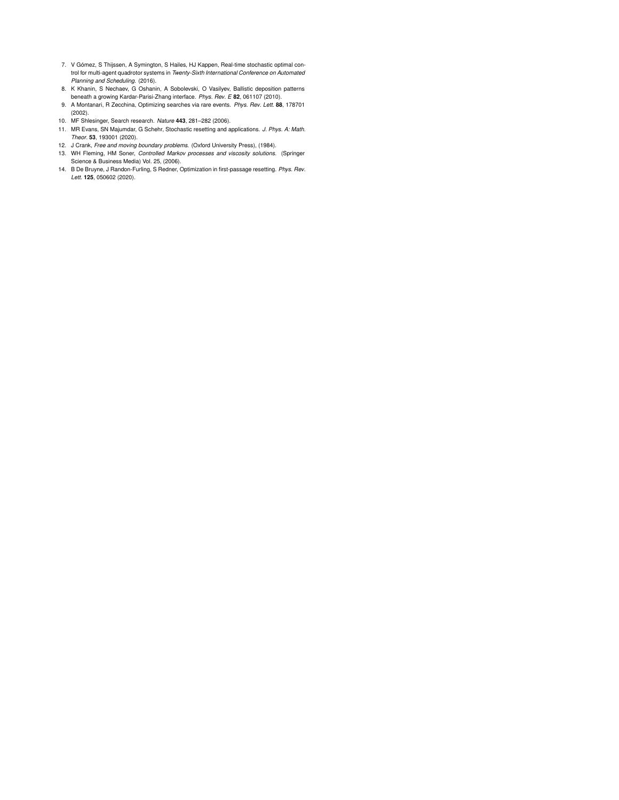- 7. V Gómez, S Thijssen, A Symington, S Hailes, HJ Kappen, Real-time stochastic optimal control for multi-agent quadrotor systems in *Twenty-Sixth International Conference on Automated Planning and Scheduling*. (2016).
- 8. K Khanin, S Nechaev, G Oshanin, A Sobolevski, O Vasilyev, Ballistic deposition patterns
- beneath a growing Kardar-Parisi-Zhang interface. *Phys. Rev. E* **82**, 061107 (2010). 9. A Montanari, R Zecchina, Optimizing searches via rare events. *Phys. Rev. Lett*. **88**, 178701 (2002).
- 
- 10. MF Shlesinger, Search research. *Nature* **443**, 281–282 (2006). 11. MR Evans, SN Majumdar, G Schehr, Stochastic resetting and applications. *J. Phys. A: Math. Theor*. **53**, 193001 (2020).
- 12. J Crank, *Free and moving boundary problems*. (Oxford University Press), (1984).
- 13. WH Fleming, HM Soner, *Controlled Markov processes and viscosity solutions*. (Springer
- Science & Business Media) Vol. 25, (2006). 14. B De Bruyne, J Randon-Furling, S Redner, Optimization in first-passage resetting. *Phys. Rev. Lett*. **125**, 050602 (2020).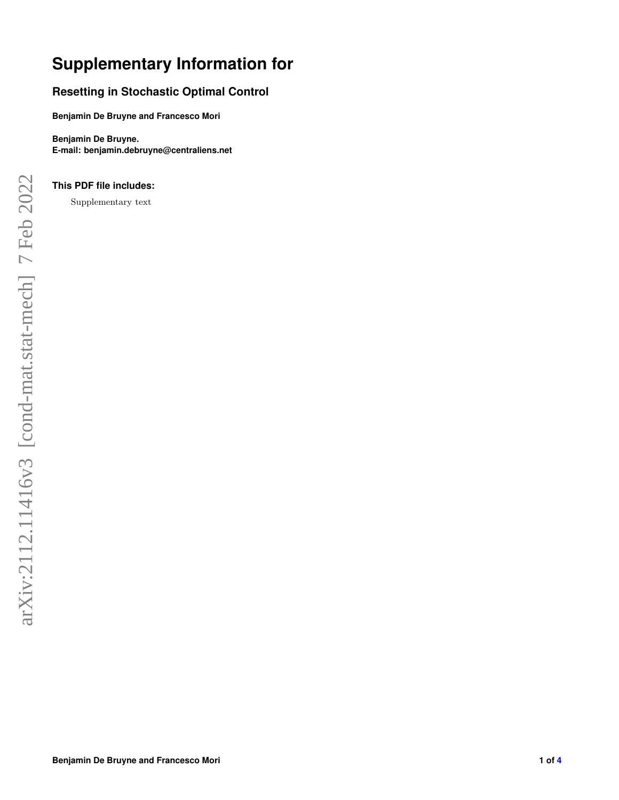## **Supplementary Information for**

### **Resetting in Stochastic Optimal Control**

**Benjamin De Bruyne and Francesco Mori**

**Benjamin De Bruyne. E-mail: benjamin.debruyne@centraliens.net**

### **This PDF file includes:**

Supplementary text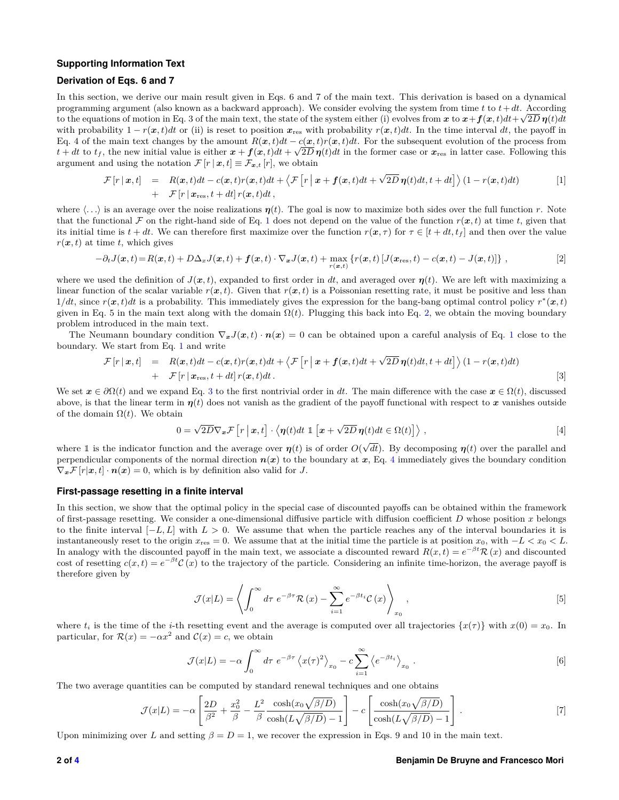#### **Supporting Information Text**

#### **Derivation of Eqs. 6 and 7**

In this section, we derive our main result given in Eqs. 6 and 7 of the main text. This derivation is based on a dynamical programming argument (also known as a backward approach). We consider evolving the system from time *t* to *t*+*dt*. According to the equations of motion in Eq. 3 of the main text, the state of the system either (i) evolves from  $x$  to  $x + f(x, t)dt + \sqrt{2D}\eta(t)dt$ with probability  $1 - r(x, t)dt$  or (ii) is reset to position  $x_{res}$  with probability  $r(x, t)dt$ . In the time interval dt, the payoff in Eq. 4 of the main text changes by the amount  $R(x,t)dt - c(x,t)r(x,t)dt$ . For the subsequent evolution of the process from  $t + dt$  to  $t_f$ , the new initial value is either  $x + f(x, t)dt + \sqrt{2D}\eta(t)dt$  in the former case or  $x_{res}$  in latter case. Following this argument and using the notation  $\mathcal{F}[r \mid \boldsymbol{x}, t] \equiv \mathcal{F}_{\boldsymbol{x},t}[r]$ , we obtain

$$
\mathcal{F}[r \mid \bm{x}, t] = R(\bm{x}, t)dt - c(\bm{x}, t)r(\bm{x}, t)dt + \langle \mathcal{F}[r \mid \bm{x} + \bm{f}(\bm{x}, t)dt + \sqrt{2D}\,\bm{\eta}(t)dt, t + dt] \rangle (1 - r(\bm{x}, t)dt) \tag{1}
$$
\n
$$
+ \mathcal{F}[r \mid \bm{x}_{\text{res}}, t + dt] \, r(\bm{x}, t)dt,
$$

where  $\langle \ldots \rangle$  is an average over the noise realizations  $\eta(t)$ . The goal is now to maximize both sides over the full function *r*. Note that the functional F on the right-hand side of Eq. 1 does not depend on the value of the function  $r(x, t)$  at time t, given that its initial time is  $t + dt$ . We can therefore first maximize over the function  $r(x, \tau)$  for  $\tau \in [t + dt, t_f]$  and then over the value  $r(x, t)$  at time *t*, which gives

$$
-\partial_t J(\boldsymbol{x},t) = R(\boldsymbol{x},t) + D\Delta_x J(\boldsymbol{x},t) + \boldsymbol{f}(\boldsymbol{x},t) \cdot \nabla_{\boldsymbol{x}} J(\boldsymbol{x},t) + \max_{r(\boldsymbol{x},t)} \left\{ r(\boldsymbol{x},t) \left[ J(\boldsymbol{x}_{\text{res}},t) - c(\boldsymbol{x},t) - J(\boldsymbol{x},t) \right] \right\},\tag{2}
$$

where we used the definition of  $J(x,t)$ , expanded to first order in dt, and averaged over  $\eta(t)$ . We are left with maximizing a linear function of the scalar variable  $r(x,t)$ . Given that  $r(x,t)$  is a Poissonian resetting rate, it must be positive and less than  $1/dt$ , since  $r(x, t)dt$  is a probability. This immediately gives the expression for the bang-bang optimal control policy  $r^*(x, t)$ given in Eq. 5 in the main text along with the domain  $\Omega(t)$ . Plugging this back into Eq. 2, we obtain the moving boundary problem introduced in the main text.

The Neumann boundary condition  $\nabla_x J(x,t) \cdot n(x) = 0$  can be obtained upon a careful analysis of Eq. 1 close to the boundary. We start from Eq. 1 and write

$$
\mathcal{F}[r \mid \bm{x}, t] = R(\bm{x}, t)dt - c(\bm{x}, t)r(\bm{x}, t)dt + \langle \mathcal{F}[r \mid \bm{x} + \bm{f}(\bm{x}, t)dt + \sqrt{2D}\,\bm{\eta}(t)dt, t + dt] \rangle (1 - r(\bm{x}, t)dt) \n+ \mathcal{F}[r \mid \bm{x}_{\text{res}}, t + dt] \, r(\bm{x}, t)dt.
$$
\n[3]

We set  $x \in \partial\Omega(t)$  and we expand Eq. 3 to the first nontrivial order in dt. The main difference with the case  $x \in \Omega(t)$ , discussed above, is that the linear term in  $\eta(t)$  does not vanish as the gradient of the payoff functional with respect to x vanishes outside of the domain  $\Omega(t)$ . We obtain

$$
0 = \sqrt{2D}\nabla_{\bm{x}}\mathcal{F}\left[r\mid\bm{x},t\right] \cdot \left\langle \bm{\eta}(t)dt \perp \left[\bm{x} + \sqrt{2D}\,\bm{\eta}(t)dt \in \Omega(t)\right]\right\rangle, \tag{4}
$$

where 1 is the indicator function and the average over  $\eta(t)$  is of order  $O(\sqrt{dt})$ . By decomposing  $\eta(t)$  over the parallel and perpendicular components of the normal direction  $n(x)$  to the boundary at x, Eq. 4 immediately gives the boundary condition  $\nabla_{\boldsymbol{x}}\mathcal{F}[r|\boldsymbol{x},t]\cdot\boldsymbol{n}(\boldsymbol{x})=0$ , which is by definition also valid for *J*.

#### **First-passage resetting in a finite interval**

In this section, we show that the optimal policy in the special case of discounted payoffs can be obtained within the framework of first-passage resetting. We consider a one-dimensional diffusive particle with diffusion coefficient *D* whose position *x* belongs to the finite interval [−*L, L*] with *L >* 0. We assume that when the particle reaches any of the interval boundaries it is instantaneously reset to the origin  $x_{\text{res}} = 0$ . We assume that at the initial time the particle is at position  $x_0$ , with  $-L < x_0 < L$ . In analogy with the discounted payoff in the main text, we associate a discounted reward  $R(x,t) = e^{-\beta t}R(x)$  and discounted cost of resetting  $c(x,t) = e^{-\beta t} C(x)$  to the trajectory of the particle. Considering an infinite time-horizon, the average payoff is therefore given by

$$
\mathcal{J}(x|L) = \left\langle \int_0^\infty d\tau \ e^{-\beta \tau} \mathcal{R}(x) - \sum_{i=1}^\infty e^{-\beta t_i} \mathcal{C}(x) \right\rangle_{x_0},\tag{5}
$$

where  $t_i$  is the time of the *i*-th resetting event and the average is computed over all trajectories  $\{x(\tau)\}\$  with  $x(0) = x_0$ . In particular, for  $\mathcal{R}(x) = -\alpha x^2$  and  $\mathcal{C}(x) = c$ , we obtain

$$
\mathcal{J}(x|L) = -\alpha \int_0^\infty d\tau \ e^{-\beta \tau} \left\langle x(\tau)^2 \right\rangle_{x_0} - c \sum_{i=1}^\infty \left\langle e^{-\beta t_i} \right\rangle_{x_0} . \tag{6}
$$

The two average quantities can be computed by standard renewal techniques and one obtains

$$
\mathcal{J}(x|L) = -\alpha \left[ \frac{2D}{\beta^2} + \frac{x_0^2}{\beta} - \frac{L^2}{\beta} \frac{\cosh(x_0 \sqrt{\beta/D})}{\cosh(L\sqrt{\beta/D}) - 1} \right] - c \left[ \frac{\cosh(x_0 \sqrt{\beta/D})}{\cosh(L\sqrt{\beta/D}) - 1} \right].
$$
 [7]

Upon minimizing over *L* and setting  $\beta = D = 1$ , we recover the expression in Eqs. 9 and 10 in the main text.

#### **2 of 4 Benjamin De Bruyne and Francesco Mori**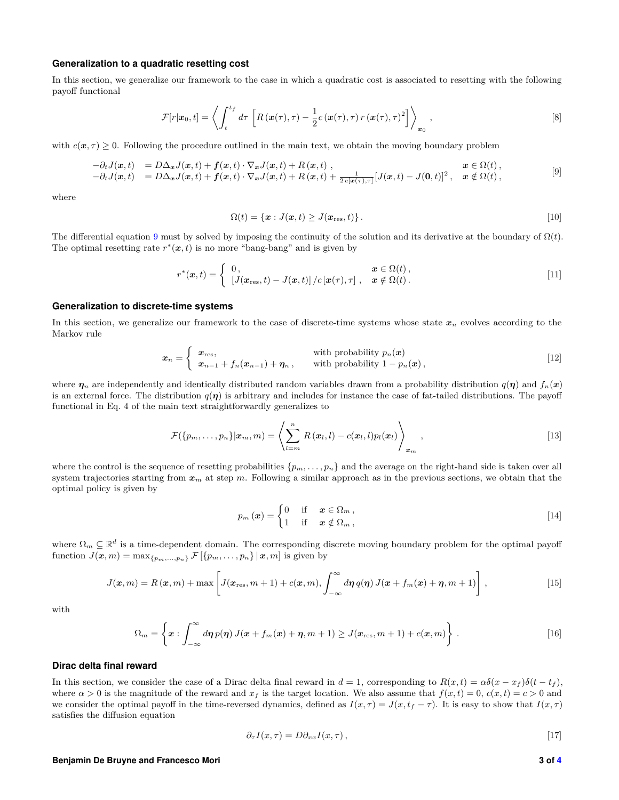#### **Generalization to a quadratic resetting cost**

In this section, we generalize our framework to the case in which a quadratic cost is associated to resetting with the following payoff functional

$$
\mathcal{F}[r|\boldsymbol{x}_0,t] = \left\langle \int_t^{t_f} d\tau \left[ R(\boldsymbol{x}(\tau),\tau) - \frac{1}{2} c(\boldsymbol{x}(\tau),\tau) r(\boldsymbol{x}(\tau),\tau)^2 \right] \right\rangle_{\boldsymbol{x}_0},
$$
\n
$$
(8)
$$

with  $c(\mathbf{x}, \tau) \geq 0$ . Following the procedure outlined in the main text, we obtain the moving boundary problem

$$
\begin{array}{lll}\n-\partial_t J(\boldsymbol{x},t) & = D\Delta_x J(\boldsymbol{x},t) + f(\boldsymbol{x},t) \cdot \nabla_x J(\boldsymbol{x},t) + R(\boldsymbol{x},t) \,, & \boldsymbol{x} \in \Omega(t) \,, \\
-\partial_t J(\boldsymbol{x},t) & = D\Delta_x J(\boldsymbol{x},t) + f(\boldsymbol{x},t) \cdot \nabla_x J(\boldsymbol{x},t) + R(\boldsymbol{x},t) + \frac{1}{2c[\boldsymbol{x}(\tau),\tau]} [J(\boldsymbol{x},t) - J(\boldsymbol{0},t)]^2 \,, & \boldsymbol{x} \notin \Omega(t) \,,\n\end{array} \tag{9}
$$

where

$$
\Omega(t) = \{ \boldsymbol{x} : J(\boldsymbol{x}, t) \geq J(\boldsymbol{x}_{\text{res}}, t) \}.
$$
\n<sup>(10)</sup>

The differential equation 9 must by solved by imposing the continuity of the solution and its derivative at the boundary of  $\Omega(t)$ . The optimal resetting rate  $r^*(x,t)$  is no more "bang-bang" and is given by

$$
r^*(\boldsymbol{x},t) = \begin{cases} 0, & \boldsymbol{x} \in \Omega(t), \\ \left[J(\boldsymbol{x}_{\text{res}},t) - J(\boldsymbol{x},t)\right] / c\left[\boldsymbol{x}(\tau),\tau\right], & \boldsymbol{x} \notin \Omega(t). \end{cases}
$$
[11]

#### **Generalization to discrete-time systems**

In this section, we generalize our framework to the case of discrete-time systems whose state  $x_n$  evolves according to the Markov rule

$$
x_n = \begin{cases} x_{\text{res}}, & \text{with probability } p_n(x) \\ x_{n-1} + f_n(x_{n-1}) + \eta_n, & \text{with probability } 1 - p_n(x), \end{cases} \tag{12}
$$

where  $\eta_n$  are independently and identically distributed random variables drawn from a probability distribution  $q(\eta)$  and  $f_n(x)$ is an external force. The distribution  $q(\eta)$  is arbitrary and includes for instance the case of fat-tailed distributions. The payoff functional in Eq. 4 of the main text straightforwardly generalizes to

$$
\mathcal{F}(\{p_m,\ldots,p_n\}|\boldsymbol{x}_m,m)=\left\langle\sum_{l=m}^n R(\boldsymbol{x}_l,l)-c(\boldsymbol{x}_l,l)p_l(\boldsymbol{x}_l)\right\rangle_{\boldsymbol{x}_m},\qquad[13]
$$

where the control is the sequence of resetting probabilities  $\{p_m, \ldots, p_n\}$  and the average on the right-hand side is taken over all system trajectories starting from *x<sup>m</sup>* at step *m*. Following a similar approach as in the previous sections, we obtain that the optimal policy is given by

$$
p_m(x) = \begin{cases} 0 & \text{if } x \in \Omega_m, \\ 1 & \text{if } x \notin \Omega_m, \end{cases}
$$
 [14]

where  $\Omega_m \subseteq \mathbb{R}^d$  is a time-dependent domain. The corresponding discrete moving boundary problem for the optimal payoff function  $J(\mathbf{x}, m) = \max_{\{p_m, \ldots, p_n\}} \mathcal{F}[\{p_m, \ldots, p_n\} | \mathbf{x}, m]$  is given by

$$
J(\boldsymbol{x},m) = R(\boldsymbol{x},m) + \max \left[ J(\boldsymbol{x}_{\text{res}},m+1) + c(\boldsymbol{x},m), \int_{-\infty}^{\infty} d\boldsymbol{\eta} \, q(\boldsymbol{\eta}) J(\boldsymbol{x} + f_m(\boldsymbol{x}) + \boldsymbol{\eta},m+1) \right], \tag{15}
$$

with

$$
\Omega_m = \left\{ \boldsymbol{x} : \int_{-\infty}^{\infty} d\boldsymbol{\eta} \, p(\boldsymbol{\eta}) \, J(\boldsymbol{x} + f_m(\boldsymbol{x}) + \boldsymbol{\eta}, m+1) \geq J(\boldsymbol{x}_{\text{res}}, m+1) + c(\boldsymbol{x}, m) \right\} \, . \tag{16}
$$

#### **Dirac delta final reward**

In this section, we consider the case of a Dirac delta final reward in  $d = 1$ , corresponding to  $R(x,t) = \alpha \delta(x - x_f) \delta(t - t_f)$ , where  $\alpha > 0$  is the magnitude of the reward and  $x_f$  is the target location. We also assume that  $f(x,t) = 0$ ,  $c(x,t) = c > 0$  and we consider the optimal payoff in the time-reversed dynamics, defined as  $I(x, \tau) = J(x, t_f - \tau)$ . It is easy to show that  $I(x, \tau)$ satisfies the diffusion equation

$$
\partial_{\tau} I(x,\tau) = D \partial_{xx} I(x,\tau), \qquad [17]
$$

#### **Benjamin De Bruyne and Francesco Mori 3 of 4**